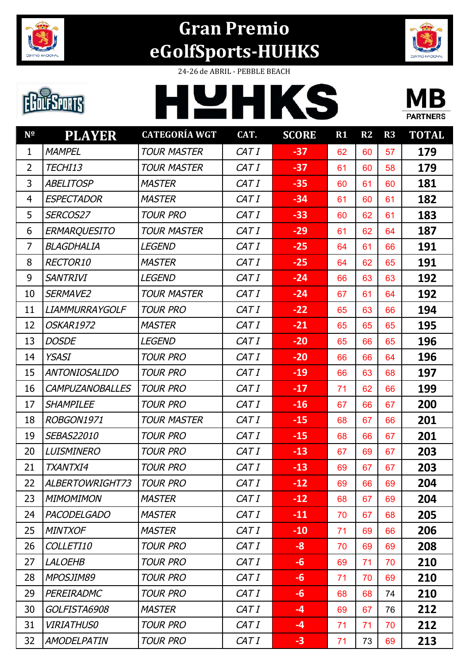



24-26 de ABRIL - PEBBLE BEACH

HYHKS

# **EDUESPORTS**



| $N^{\Omega}$   | <b>PLAYER</b>          | <b>CATEGORÍA WGT</b> | CAT.  | <b>SCORE</b> | R1 | R2 | R3 | <b>TOTAL</b> |
|----------------|------------------------|----------------------|-------|--------------|----|----|----|--------------|
| $\mathbf{1}$   | <b>MAMPEL</b>          | <b>TOUR MASTER</b>   | CAT I | $-37$        | 62 | 60 | 57 | 179          |
| $\overline{2}$ | TECHI13                | <b>TOUR MASTER</b>   | CAT I | $-37$        | 61 | 60 | 58 | 179          |
| 3              | <b>ABELITOSP</b>       | <b>MASTER</b>        | CAT I | $-35$        | 60 | 61 | 60 | 181          |
| $\overline{4}$ | <b>ESPECTADOR</b>      | <b>MASTER</b>        | CAT I | $-34$        | 61 | 60 | 61 | 182          |
| 5              | SERCOS27               | <b>TOUR PRO</b>      | CAT I | $-33$        | 60 | 62 | 61 | 183          |
| 6              | <b>ERMARQUESITO</b>    | <b>TOUR MASTER</b>   | CAT I | $-29$        | 61 | 62 | 64 | 187          |
| $\overline{7}$ | <b>BLAGDHALIA</b>      | <b>LEGEND</b>        | CAT I | $-25$        | 64 | 61 | 66 | 191          |
| 8              | RECTOR10               | <b>MASTER</b>        | CAT I | $-25$        | 64 | 62 | 65 | 191          |
| 9              | <b>SANTRIVI</b>        | <b>LEGEND</b>        | CAT I | $-24$        | 66 | 63 | 63 | 192          |
| 10             | SERMAVE2               | <b>TOUR MASTER</b>   | CAT I | $-24$        | 67 | 61 | 64 | 192          |
| 11             | <b>LIAMMURRAYGOLF</b>  | <b>TOUR PRO</b>      | CAT I | $-22$        | 65 | 63 | 66 | 194          |
| 12             | <b>OSKAR1972</b>       | <b>MASTER</b>        | CAT I | $-21$        | 65 | 65 | 65 | 195          |
| 13             | <b>DOSDE</b>           | <b>LEGEND</b>        | CAT I | $-20$        | 65 | 66 | 65 | 196          |
| 14             | <b>YSASI</b>           | <b>TOUR PRO</b>      | CAT I | $-20$        | 66 | 66 | 64 | 196          |
| 15             | <b>ANTONIOSALIDO</b>   | <b>TOUR PRO</b>      | CAT I | $-19$        | 66 | 63 | 68 | 197          |
| 16             | <b>CAMPUZANOBALLES</b> | <b>TOUR PRO</b>      | CAT I | $-17$        | 71 | 62 | 66 | 199          |
| 17             | <b>SHAMPILEE</b>       | <b>TOUR PRO</b>      | CAT I | $-16$        | 67 | 66 | 67 | 200          |
| 18             | ROBGON1971             | <b>TOUR MASTER</b>   | CAT I | $-15$        | 68 | 67 | 66 | 201          |
| 19             | SEBAS22010             | <b>TOUR PRO</b>      | CAT I | $-15$        | 68 | 66 | 67 | 201          |
| 20             | <b>LUISMINERO</b>      | <b>TOUR PRO</b>      | CAT I | $-13$        | 67 | 69 | 67 | 203          |
| 21             | TXANTXI4               | <b>TOUR PRO</b>      | CAT I | $-13$        | 69 | 67 | 67 | 203          |
| 22             | ALBERTOWRIGHT73        | TOUR PRO             | CAT I | $-12$        | 69 | 66 | 69 | 204          |
| 23             | <b>MIMOMIMON</b>       | <b>MASTER</b>        | CAT I | $-12$        | 68 | 67 | 69 | 204          |
| 24             | <b>PACODELGADO</b>     | <b>MASTER</b>        | CAT I | $-11$        | 70 | 67 | 68 | 205          |
| 25             | <b>MINTXOF</b>         | <b>MASTER</b>        | CAT I | $-10$        | 71 | 69 | 66 | 206          |
| 26             | COLLETI10              | <b>TOUR PRO</b>      | CAT I | $-8$         | 70 | 69 | 69 | 208          |
| 27             | <b>LALOEHB</b>         | <b>TOUR PRO</b>      | CAT I | $-6$         | 69 | 71 | 70 | 210          |
| 28             | MPOSJIM89              | <b>TOUR PRO</b>      | CAT I | $-6$         | 71 | 70 | 69 | 210          |
| 29             | PEREIRADMC             | <b>TOUR PRO</b>      | CAT I | $-6$         | 68 | 68 | 74 | 210          |
| 30             | GOLFISTA6908           | <b>MASTER</b>        | CAT I | $-4$         | 69 | 67 | 76 | 212          |
| 31             | <b>VIRIATHUSO</b>      | <b>TOUR PRO</b>      | CAT I | $-4$         | 71 | 71 | 70 | 212          |
| 32             | <b>AMODELPATIN</b>     | <b>TOUR PRO</b>      | CAT I | $-3$         | 71 | 73 | 69 | 213          |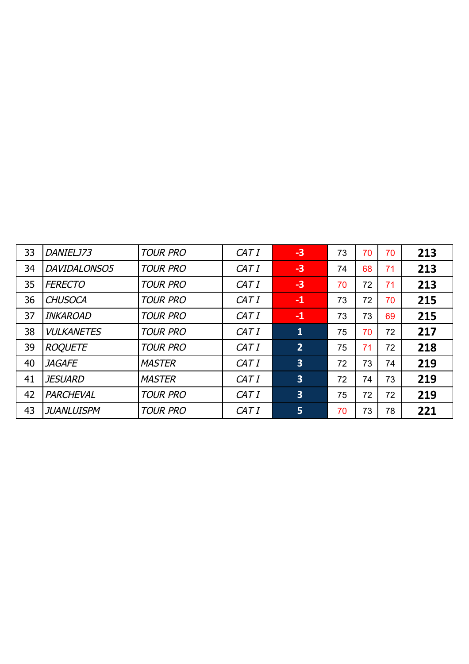| 33 | DANIELJ73         | <b>TOUR PRO</b> | CAT I | $-3$                    | 73 | 70 | 70 | 213 |
|----|-------------------|-----------------|-------|-------------------------|----|----|----|-----|
| 34 | DAVIDALONSO5      | <b>TOUR PRO</b> | CAT I | $-3$                    | 74 | 68 | 71 | 213 |
| 35 | <b>FERECTO</b>    | <b>TOUR PRO</b> | CAT I | $-3$                    | 70 | 72 | 71 | 213 |
| 36 | <b>CHUSOCA</b>    | <b>TOUR PRO</b> | CAT I | $-1$                    | 73 | 72 | 70 | 215 |
| 37 | <b>INKAROAD</b>   | <b>TOUR PRO</b> | CAT I | $-1$                    | 73 | 73 | 69 | 215 |
| 38 | <b>VULKANETES</b> | <b>TOUR PRO</b> | CAT I | $\mathbf{1}$            | 75 | 70 | 72 | 217 |
| 39 | <b>ROQUETE</b>    | <b>TOUR PRO</b> | CAT I | 2                       | 75 | 71 | 72 | 218 |
| 40 | <b>JAGAFE</b>     | <b>MASTER</b>   | CAT I | $\overline{\mathbf{3}}$ | 72 | 73 | 74 | 219 |
| 41 | <i>JESUARD</i>    | <b>MASTER</b>   | CAT I | $\overline{\mathbf{3}}$ | 72 | 74 | 73 | 219 |
| 42 | PARCHEVAL         | <b>TOUR PRO</b> | CAT I | $\overline{\mathbf{3}}$ | 75 | 72 | 72 | 219 |
| 43 | JUANLUISPM        | <b>TOUR PRO</b> | CAT I | 5                       | 70 | 73 | 78 | 221 |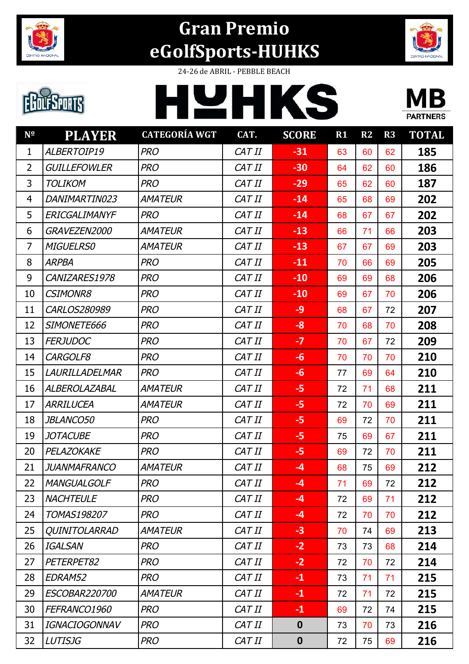



## **EBOLFSPORTS**

24-26 de ABRIL - PEBBLE BEACH





| $N^{\Omega}$   | <b>PLAYER</b>        | <b>CATEGORÍA WGT</b> | CAT.   | <b>SCORE</b>     | $R1$ | R2 | R3 | <b>TOTAL</b> |
|----------------|----------------------|----------------------|--------|------------------|------|----|----|--------------|
| $\mathbf{1}$   | ALBERTOIP19          | <b>PRO</b>           | CAT II | $-31$            | 63   | 60 | 62 | 185          |
| $\overline{2}$ | <b>GUILLEFOWLER</b>  | <b>PRO</b>           | CAT II | $-30$            | 64   | 62 | 60 | 186          |
| 3              | <b>TOLIKOM</b>       | <b>PRO</b>           | CAT II | $-29$            | 65   | 62 | 60 | 187          |
| $\overline{4}$ | DANIMARTIN023        | AMATEUR              | CAT II | $-14$            | 65   | 68 | 69 | 202          |
| 5              | ERICGALIMANYF        | <b>PRO</b>           | CAT II | $-14$            | 68   | 67 | 67 | 202          |
| 6              | GRAVEZEN2000         | <b>AMATEUR</b>       | CAT II | $-13$            | 66   | 71 | 66 | 203          |
| $\overline{7}$ | <b>MIGUELRS0</b>     | AMATEUR              | CAT II | $-13$            | 67   | 67 | 69 | 203          |
| 8              | <b>ARPBA</b>         | <b>PRO</b>           | CAT II | $-11$            | 70   | 66 | 69 | 205          |
| 9              | CANIZARES1978        | <b>PRO</b>           | CAT II | $-10$            | 69   | 69 | 68 | 206          |
| 10             | <b>CSIMONR8</b>      | <b>PRO</b>           | CAT II | $-10$            | 69   | 67 | 70 | 206          |
| 11             | CARLOS280989         | <b>PRO</b>           | CAT II | $-9$             | 68   | 67 | 72 | 207          |
| 12             | SIMONETE666          | <b>PRO</b>           | CAT II | $-8$             | 70   | 68 | 70 | 208          |
| 13             | <b>FERJUDOC</b>      | <b>PRO</b>           | CAT II | $-7$             | 70   | 67 | 72 | 209          |
| 14             | CARGOLF8             | <b>PRO</b>           | CAT II | $-6$             | 70   | 70 | 70 | 210          |
| 15             | LAURILLADELMAR       | <b>PRO</b>           | CAT II | $-6$             | 77   | 69 | 64 | 210          |
| 16             | ALBEROLAZABAL        | AMATEUR              | CAT II | $-5$             | 72   | 71 | 68 | 211          |
| 17             | <b>ARRILUCEA</b>     | <b>AMATEUR</b>       | CAT II | $-5$             | 72   | 70 | 69 | 211          |
| 18             | JBLANCO50            | <b>PRO</b>           | CAT II | $-5$             | 69   | 72 | 70 | 211          |
| 19             | <i>JOTACUBE</i>      | <b>PRO</b>           | CAT II | $-5$             | 75   | 69 | 67 | 211          |
| 20             | PELAZOKAKE           | <b>PRO</b>           | CAT II | $-5$             | 69   | 72 | 70 | 211          |
| 21             | <b>JUANMAFRANCO</b>  | <b>AMATEUR</b>       | CAT II | $-4$             | 68   | 75 | 69 | 212          |
| 22             | <b>MANGUALGOLF</b>   | <b>PRO</b>           | CAT II | $-4$             | 71   | 69 | 72 | 212          |
| 23             | <b>NACHTEULE</b>     | <b>PRO</b>           | CAT II | $-4$             | 72   | 69 | 71 | 212          |
| 24             | TOMAS198207          | <b>PRO</b>           | CAT II | $-4$             | 72   | 70 | 70 | 212          |
| 25             | <b>QUINITOLARRAD</b> | <b>AMATEUR</b>       | CAT II | $-3$             | 70   | 74 | 69 | 213          |
| 26             | <b>IGALSAN</b>       | <b>PRO</b>           | CAT II | $-2$             | 73   | 73 | 68 | 214          |
| 27             | PETERPET82           | <b>PRO</b>           | CAT II | $-2$             | 72   | 70 | 72 | 214          |
| 28             | EDRAM52              | <b>PRO</b>           | CAT II | $-1$             | 73   | 71 | 71 | 215          |
| 29             | <b>ESCOBAR220700</b> | <b>AMATEUR</b>       | CAT II | $-1$             | 72   | 71 | 72 | 215          |
| 30             | FEFRANCO1960         | <b>PRO</b>           | CAT II | $-1$             | 69   | 72 | 74 | 215          |
| 31             | <b>IGNACIOGONNAV</b> | <b>PRO</b>           | CAT II | $\mathbf 0$      | 73   | 70 | 73 | 216          |
| 32             | <b>LUTISJG</b>       | <b>PRO</b>           | CAT II | $\boldsymbol{0}$ | 72   | 75 | 69 | 216          |
|                |                      |                      |        |                  |      |    |    |              |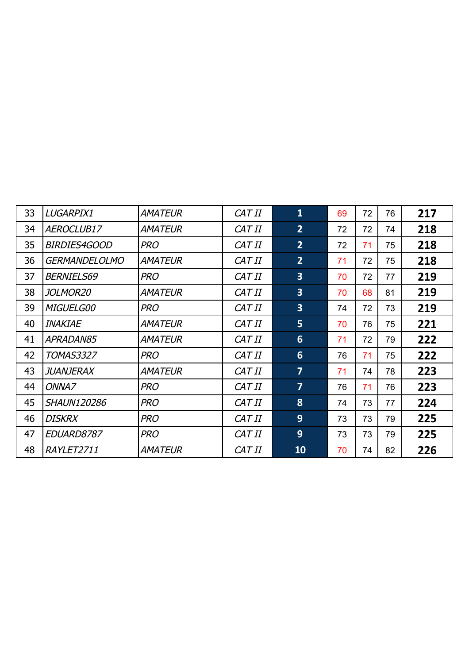| 33 | LUGARPIX1            | <b>AMATEUR</b> | CAT II | $\mathbf{1}$            | 69 | 72 | 76 | 217 |
|----|----------------------|----------------|--------|-------------------------|----|----|----|-----|
| 34 | AEROCLUB17           | <b>AMATEUR</b> | CAT II | 2 <sup>1</sup>          | 72 | 72 | 74 | 218 |
| 35 | <i>BIRDIES4GOOD</i>  | <b>PRO</b>     | CAT II | 2 <sup>1</sup>          | 72 | 71 | 75 | 218 |
| 36 | <b>GERMANDELOLMO</b> | <b>AMATEUR</b> | CAT II | $\overline{2}$          | 71 | 72 | 75 | 218 |
| 37 | <b>BERNIELS69</b>    | <b>PRO</b>     | CAT II | $\overline{\mathbf{3}}$ | 70 | 72 | 77 | 219 |
| 38 | <i>JOLMOR20</i>      | <b>AMATEUR</b> | CAT II | $\overline{\mathbf{3}}$ | 70 | 68 | 81 | 219 |
| 39 | <b>MIGUELG00</b>     | <b>PRO</b>     | CAT II | $\overline{3}$          | 74 | 72 | 73 | 219 |
| 40 | <b>INAKIAE</b>       | <b>AMATEUR</b> | CAT II | 5 <sub>1</sub>          | 70 | 76 | 75 | 221 |
| 41 | APRADAN85            | <b>AMATEUR</b> | CAT II | 6                       | 71 | 72 | 79 | 222 |
| 42 | <i>TOMAS3327</i>     | <b>PRO</b>     | CAT II | 6                       | 76 | 71 | 75 | 222 |
| 43 | JUANJERAX            | <b>AMATEUR</b> | CAT II | $\overline{7}$          | 71 | 74 | 78 | 223 |
| 44 | ONNA7                | <b>PRO</b>     | CAT II | $\overline{7}$          | 76 | 71 | 76 | 223 |
| 45 | <b>SHAUN120286</b>   | <b>PRO</b>     | CAT II | 8                       | 74 | 73 | 77 | 224 |
| 46 | <b>DISKRX</b>        | <b>PRO</b>     | CAT II | 9                       | 73 | 73 | 79 | 225 |
| 47 | EDUARD8787           | <b>PRO</b>     | CAT II | 9                       | 73 | 73 | 79 | 225 |
| 48 | RAYLET2711           | <b>AMATEUR</b> | CAT II | 10                      | 70 | 74 | 82 | 226 |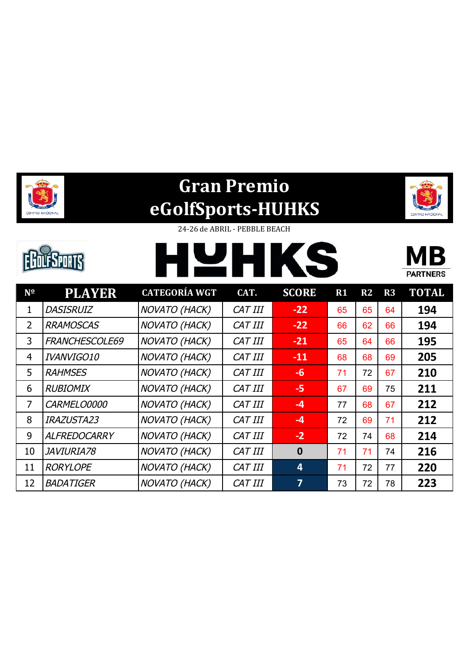



24-26 de ABRIL - PEBBLE BEACH

|                |              | and the<br>ш<br><b>A</b><br>$\mathbb{R}^n$                  |                      | $\blacksquare$<br><b>TA</b> |        |               |               | <b>PARTNERS</b>                    |
|----------------|--------------|-------------------------------------------------------------|----------------------|-----------------------------|--------|---------------|---------------|------------------------------------|
| $\overline{a}$ | <b>BLAUD</b> | $\alpha$ , mn $\alpha$ $\alpha$ n $\alpha$ , ziz $\alpha$ m | $\sim$ $\sim$ $\sim$ | $\sim$ $\sim$ $\sim$ $\sim$ | $\sim$ | $\sim$ $\sim$ | $\sim$ $\sim$ | $\sim$ $\sim$ $\sim$ $\sim$ $\sim$ |

| $N^{\Omega}$ | <b>PLAYER</b>       | <b>CATEGORÍA WGT</b> | CAT.           | <b>SCORE</b>   | R1 | R2 | R3 | <b>TOTAL</b> |
|--------------|---------------------|----------------------|----------------|----------------|----|----|----|--------------|
| 1            | <b>DASISRUIZ</b>    | <b>NOVATO (HACK)</b> | CAT III        | $-22$          | 65 | 65 | 64 | 194          |
| 2            | <b>RRAMOSCAS</b>    | <b>NOVATO (HACK)</b> | CAT III        | $-22$          | 66 | 62 | 66 | 194          |
| 3            | FRANCHESCOLE69      | NOVATO (HACK)        | CAT III        | $-21$          | 65 | 64 | 66 | 195          |
| 4            | IVANVIGO10          | <b>NOVATO (HACK)</b> | CAT III        | $-11$          | 68 | 68 | 69 | 205          |
| 5            | <b>RAHMSES</b>      | <b>NOVATO (HACK)</b> | CAT III        | $-6$           | 71 | 72 | 67 | 210          |
| 6            | <b>RUBIOMIX</b>     | <b>NOVATO (HACK)</b> | CAT III        | $-5$           | 67 | 69 | 75 | 211          |
| 7            | CARMELO0000         | <b>NOVATO (HACK)</b> | CAT III        | $-4$           | 77 | 68 | 67 | 212          |
| 8            | <b>IRAZUSTA23</b>   | <b>NOVATO (HACK)</b> | CAT III        | $-4$           | 72 | 69 | 71 | 212          |
| 9            | <b>ALFREDOCARRY</b> | <b>NOVATO (HACK)</b> | CAT III        | $-2$           | 72 | 74 | 68 | 214          |
| 10           | JAVIURIA78          | NOVATO (HACK)        | CAT III        | $\mathbf 0$    | 71 | 71 | 74 | 216          |
| 11           | <b>RORYLOPE</b>     | <b>NOVATO (HACK)</b> | <b>CAT III</b> | $\overline{4}$ | 71 | 72 | 77 | 220          |
| 12           | <b>BADATIGER</b>    | <b>NOVATO (HACK)</b> | <b>CAT III</b> | $\overline{7}$ | 73 | 72 | 78 | 223          |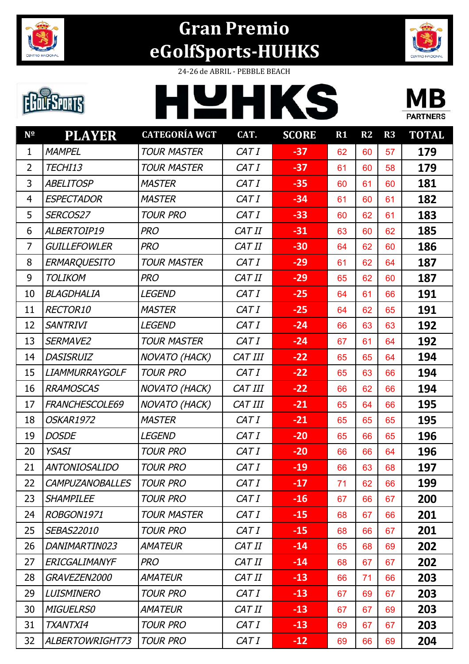



24-26 de ABRIL - PEBBLE BEACH

**LEHKS** 

# **EBOLFSPORTS**



| $N^{\Omega}$   | <b>PLAYER</b>          | <b>CATEGORÍA WGT</b> | CAT.           | <b>SCORE</b> | R1 | R2 | R3 | <b>TOTAL</b> |
|----------------|------------------------|----------------------|----------------|--------------|----|----|----|--------------|
| $\mathbf{1}$   | <b>MAMPEL</b>          | <b>TOUR MASTER</b>   | CAT I          | $-37$        | 62 | 60 | 57 | 179          |
| $\overline{2}$ | TECHI13                | <b>TOUR MASTER</b>   | CAT I          | $-37$        | 61 | 60 | 58 | 179          |
| 3              | <b>ABELITOSP</b>       | <b>MASTER</b>        | CAT I          | $-35$        | 60 | 61 | 60 | 181          |
| 4              | <b>ESPECTADOR</b>      | <b>MASTER</b>        | CAT I          | $-34$        | 61 | 60 | 61 | 182          |
| 5              | SERCOS27               | <b>TOUR PRO</b>      | CAT I          | $-33$        | 60 | 62 | 61 | 183          |
| 6              | ALBERTOIP19            | <b>PRO</b>           | CAT II         | $-31$        | 63 | 60 | 62 | 185          |
| $\overline{7}$ | <b>GUILLEFOWLER</b>    | <b>PRO</b>           | CAT II         | $-30$        | 64 | 62 | 60 | 186          |
| 8              | <b>ERMARQUESITO</b>    | <b>TOUR MASTER</b>   | CAT I          | $-29$        | 61 | 62 | 64 | 187          |
| 9              | <b>TOLIKOM</b>         | <b>PRO</b>           | CAT II         | $-29$        | 65 | 62 | 60 | 187          |
| 10             | <b>BLAGDHALIA</b>      | <b>LEGEND</b>        | CAT I          | $-25$        | 64 | 61 | 66 | 191          |
| 11             | RECTOR10               | <b>MASTER</b>        | CAT I          | $-25$        | 64 | 62 | 65 | 191          |
| 12             | <b>SANTRIVI</b>        | <b>LEGEND</b>        | CAT I          | $-24$        | 66 | 63 | 63 | 192          |
| 13             | SERMAVE2               | <b>TOUR MASTER</b>   | CAT I          | $-24$        | 67 | 61 | 64 | 192          |
| 14             | <b>DASISRUIZ</b>       | <b>NOVATO (HACK)</b> | <b>CAT III</b> | $-22$        | 65 | 65 | 64 | 194          |
| 15             | <b>LIAMMURRAYGOLF</b>  | <b>TOUR PRO</b>      | CAT I          | $-22$        | 65 | 63 | 66 | 194          |
| 16             | <b>RRAMOSCAS</b>       | <b>NOVATO (HACK)</b> | <b>CAT III</b> | $-22$        | 66 | 62 | 66 | 194          |
| 17             | FRANCHESCOLE69         | <b>NOVATO (HACK)</b> | CAT III        | $-21$        | 65 | 64 | 66 | 195          |
| 18             | OSKAR1972              | <b>MASTER</b>        | CAT I          | $-21$        | 65 | 65 | 65 | 195          |
| 19             | <b>DOSDE</b>           | <b>LEGEND</b>        | CAT I          | $-20$        | 65 | 66 | 65 | 196          |
| 20             | <b>YSASI</b>           | <b>TOUR PRO</b>      | CAT I          | $-20$        | 66 | 66 | 64 | 196          |
| 21             | <b>ANTONIOSALIDO</b>   | <b>TOUR PRO</b>      | CAT I          | $-19$        | 66 | 63 | 68 | 197          |
| 22             | <b>CAMPUZANOBALLES</b> | <b>TOUR PRO</b>      | CAT I          | $-17$        | 71 | 62 | 66 | 199          |
| 23             | <b>SHAMPILEE</b>       | <b>TOUR PRO</b>      | CAT I          | $-16$        | 67 | 66 | 67 | 200          |
| 24             | ROBGON1971             | <b>TOUR MASTER</b>   | CAT I          | $-15$        | 68 | 67 | 66 | 201          |
| 25             | <b>SEBAS22010</b>      | <b>TOUR PRO</b>      | CAT I          | $-15$        | 68 | 66 | 67 | 201          |
| 26             | DANIMARTIN023          | <b>AMATEUR</b>       | CAT II         | $-14$        | 65 | 68 | 69 | 202          |
| 27             | <b>ERICGALIMANYF</b>   | <b>PRO</b>           | CAT II         | $-14$        | 68 | 67 | 67 | 202          |
| 28             | GRAVEZEN2000           | <b>AMATEUR</b>       | CAT II         | $-13$        | 66 | 71 | 66 | 203          |
| 29             | <b>LUISMINERO</b>      | <b>TOUR PRO</b>      | CAT I          | $-13$        | 67 | 69 | 67 | 203          |
| 30             | <b>MIGUELRS0</b>       | <b>AMATEUR</b>       | CAT II         | $-13$        | 67 | 67 | 69 | 203          |
| 31             | <b>TXANTXI4</b>        | <b>TOUR PRO</b>      | CAT I          | $-13$        | 69 | 67 | 67 | 203          |
| 32             | ALBERTOWRIGHT73        | <b>TOUR PRO</b>      | CAT I          | $-12$        | 69 | 66 | 69 | 204          |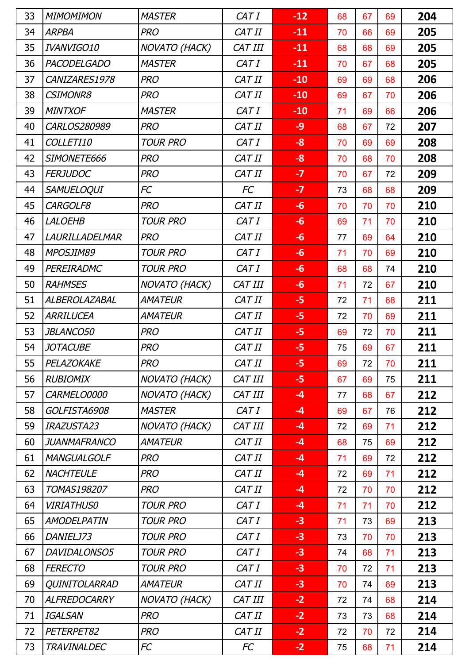| 33 | <b>MIMOMIMON</b>   | <b>MASTER</b>        | CAT I   | $-12$ | 68 | 67 | 69 | 204 |
|----|--------------------|----------------------|---------|-------|----|----|----|-----|
| 34 | <b>ARPBA</b>       | <b>PRO</b>           | CAT II  | $-11$ | 70 | 66 | 69 | 205 |
| 35 | IVANVIGO10         | NOVATO (HACK)        | CAT III | $-11$ | 68 | 68 | 69 | 205 |
| 36 | <b>PACODELGADO</b> | <b>MASTER</b>        | CAT I   | $-11$ | 70 | 67 | 68 | 205 |
| 37 | CANIZARES1978      | <b>PRO</b>           | CAT II  | $-10$ | 69 | 69 | 68 | 206 |
| 38 | <b>CSIMONR8</b>    | <b>PRO</b>           | CAT II  | $-10$ | 69 | 67 | 70 | 206 |
| 39 | <b>MINTXOF</b>     | <b>MASTER</b>        | CAT I   | $-10$ | 71 | 69 | 66 | 206 |
| 40 | CARLOS280989       | <b>PRO</b>           | CAT II  | $-9$  | 68 | 67 | 72 | 207 |
| 41 | COLLETI10          | <b>TOUR PRO</b>      | CAT I   | $-8$  | 70 | 69 | 69 | 208 |
| 42 | SIMONETE666        | <b>PRO</b>           | CAT II  | $-8$  | 70 | 68 | 70 | 208 |
| 43 | <b>FERJUDOC</b>    | <b>PRO</b>           | CAT II  | $-7$  | 70 | 67 | 72 | 209 |
| 44 | <b>SAMUELOQUI</b>  | FC                   | FC      | $-7$  | 73 | 68 | 68 | 209 |
| 45 | CARGOLF8           | <b>PRO</b>           | CAT II  | $-6$  | 70 | 70 | 70 | 210 |
| 46 | <b>LALOEHB</b>     | <b>TOUR PRO</b>      | CAT I   | $-6$  | 69 | 71 | 70 | 210 |
| 47 | LAURILLADELMAR     | <b>PRO</b>           | CAT II  | $-6$  | 77 | 69 | 64 | 210 |
| 48 | MPOSJIM89          | <b>TOUR PRO</b>      | CAT I   | $-6$  | 71 | 70 | 69 | 210 |
| 49 | PEREIRADMC         | <b>TOUR PRO</b>      | CAT I   | $-6$  | 68 | 68 | 74 | 210 |
| 50 | <b>RAHMSES</b>     | NOVATO (HACK)        | CAT III | $-6$  | 71 | 72 | 67 | 210 |
| 51 | ALBEROLAZABAL      | <b>AMATEUR</b>       | CAT II  | $-5$  | 72 | 71 | 68 | 211 |
| 52 | ARRILUCEA          | <b>AMATEUR</b>       | CAT II  | $-5$  | 72 | 70 | 69 | 211 |
| 53 | <b>JBLANCO50</b>   | <b>PRO</b>           | CAT II  | $-5$  | 69 | 72 | 70 | 211 |
| 54 | <b>JOTACUBE</b>    | <b>PRO</b>           | CAT II  | $-5$  | 75 | 69 | 67 | 211 |
| 55 | PELAZOKAKE         | <b>PRO</b>           | CAT II  | -5    | 69 | 72 | 70 | 211 |
| 56 | <b>RUBIOMIX</b>    | <b>NOVATO (HACK)</b> | CAT III | $-5$  | 67 | 69 | 75 | 211 |
| 57 | CARMELO0000        | NOVATO (HACK)        | CAT III | $-4$  | 77 | 68 | 67 | 212 |
| 58 | GOLFISTA6908       | <b>MASTER</b>        | CAT I   | $-4$  | 69 | 67 | 76 | 212 |
| 59 | <b>IRAZUSTA23</b>  | <b>NOVATO (HACK)</b> | CAT III | $-4$  | 72 | 69 | 71 | 212 |
| 60 | JUANMAFRANCO       | <b>AMATEUR</b>       | CAT II  | $-4$  | 68 | 75 | 69 | 212 |
| 61 | <b>MANGUALGOLF</b> | <b>PRO</b>           | CAT II  | $-4$  | 71 | 69 | 72 | 212 |
| 62 | <b>NACHTEULE</b>   | <b>PRO</b>           | CAT II  | $-4$  | 72 | 69 | 71 | 212 |
| 63 | TOMAS198207        | <b>PRO</b>           | CAT II  | $-4$  | 72 | 70 | 70 | 212 |
| 64 | <b>VIRIATHUS0</b>  | <b>TOUR PRO</b>      | CAT I   | $-4$  | 71 | 71 | 70 | 212 |
| 65 | AMODELPATIN        | <b>TOUR PRO</b>      | CAT I   | $-3$  | 71 | 73 | 69 | 213 |
| 66 | DANIELJ73          | <b>TOUR PRO</b>      | CAT I   | $-3$  | 73 | 70 | 70 | 213 |
| 67 | DAVIDALONSO5       | <b>TOUR PRO</b>      | CAT I   | $-3$  | 74 | 68 | 71 | 213 |
| 68 | <b>FERECTO</b>     | <b>TOUR PRO</b>      | CAT I   | $-3$  | 70 | 72 | 71 | 213 |
| 69 | QUINITOLARRAD      | <b>AMATEUR</b>       | CAT II  | $-3$  | 70 | 74 | 69 | 213 |
| 70 | ALFREDOCARRY       | <b>NOVATO (HACK)</b> | CAT III | $-2$  | 72 | 74 | 68 | 214 |
| 71 | IGALSAN            | <b>PRO</b>           | CAT II  | $-2$  | 73 | 73 | 68 | 214 |
| 72 | PETERPET82         | <b>PRO</b>           | CAT II  | $-2$  | 72 | 70 | 72 | 214 |
| 73 | <b>TRAVINALDEC</b> | FC                   | FC      | $-2$  | 75 | 68 | 71 | 214 |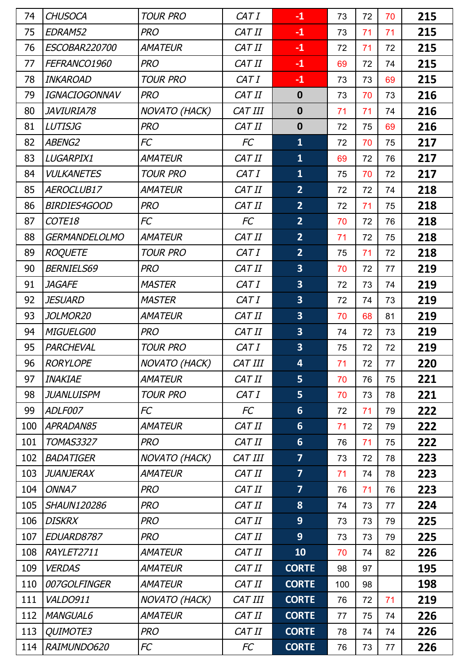| 74  | <b>CHUSOCA</b>       | <b>TOUR PRO</b>      | CAT I          | $-1$                    | 73  | 72 | 70 | 215 |
|-----|----------------------|----------------------|----------------|-------------------------|-----|----|----|-----|
| 75  | EDRAM52              | <b>PRO</b>           | CAT II         | $-1$                    | 73  | 71 | 71 | 215 |
| 76  | ESCOBAR220700        | <b>AMATEUR</b>       | CAT II         | $-1$                    | 72  | 71 | 72 | 215 |
| 77  | FEFRANCO1960         | <b>PRO</b>           | CAT II         | $-1$                    | 69  | 72 | 74 | 215 |
| 78  | <b>INKAROAD</b>      | <b>TOUR PRO</b>      | CAT I          | $-1$                    | 73  | 73 | 69 | 215 |
| 79  | <b>IGNACIOGONNAV</b> | <b>PRO</b>           | CAT II         | $\boldsymbol{0}$        | 73  | 70 | 73 | 216 |
| 80  | JAVIURIA78           | <b>NOVATO (HACK)</b> | CAT III        | $\boldsymbol{0}$        | 71  | 71 | 74 | 216 |
| 81  | <b>LUTISJG</b>       | <b>PRO</b>           | CAT II         | $\boldsymbol{0}$        | 72  | 75 | 69 | 216 |
| 82  | <b>ABENG2</b>        | FC                   | FC             | $\mathbf{1}$            | 72  | 70 | 75 | 217 |
| 83  | LUGARPIX1            | <b>AMATEUR</b>       | CAT II         | $\mathbf{1}$            | 69  | 72 | 76 | 217 |
| 84  | <b>VULKANETES</b>    | <b>TOUR PRO</b>      | CAT I          | $\mathbf{1}$            | 75  | 70 | 72 | 217 |
| 85  | AEROCLUB17           | <b>AMATEUR</b>       | CAT II         | $\overline{2}$          | 72  | 72 | 74 | 218 |
| 86  | <b>BIRDIES4GOOD</b>  | <b>PRO</b>           | CAT II         | $\overline{2}$          | 72  | 71 | 75 | 218 |
| 87  | COTE18               | FC                   | <b>FC</b>      | $\overline{2}$          | 70  | 72 | 76 | 218 |
| 88  | <b>GERMANDELOLMO</b> | <b>AMATEUR</b>       | CAT II         | $\overline{2}$          | 71  | 72 | 75 | 218 |
| 89  | <b>ROQUETE</b>       | <b>TOUR PRO</b>      | CAT I          | $\overline{2}$          | 75  | 71 | 72 | 218 |
| 90  | <b>BERNIELS69</b>    | <b>PRO</b>           | CAT II         | $\overline{\mathbf{3}}$ | 70  | 72 | 77 | 219 |
| 91  | <b>JAGAFE</b>        | <b>MASTER</b>        | CAT I          | 3                       | 72  | 73 | 74 | 219 |
| 92  | <i>JESUARD</i>       | <b>MASTER</b>        | CAT I          | $\overline{\mathbf{3}}$ | 72  | 74 | 73 | 219 |
| 93  | JOLMOR20             | <b>AMATEUR</b>       | CAT II         | $\overline{\mathbf{3}}$ | 70  | 68 | 81 | 219 |
| 94  | MIGUELG00            | <b>PRO</b>           | CAT II         | $\overline{\mathbf{3}}$ | 74  | 72 | 73 | 219 |
| 95  | PARCHEVAL            | <b>TOUR PRO</b>      | CAT I          | 3                       | 75  | 72 | 72 | 219 |
| 96  | <b>RORYLOPE</b>      | NOVATO (HACK)        | <b>CAT III</b> | $\overline{4}$          | 71  | 72 | 77 | 220 |
| 97  | <b>INAKIAE</b>       | <b>AMATEUR</b>       | CAT II         | 5                       | 70  | 76 | 75 | 221 |
| 98  | JUANLUISPM           | <b>TOUR PRO</b>      | CAT I          | $\overline{5}$          | 70  | 73 | 78 | 221 |
| 99  | ADLF007              | FC                   | FC             | $6\phantom{1}$          | 72  | 71 | 79 | 222 |
| 100 | APRADAN85            | <b>AMATEUR</b>       | CAT II         | $6\phantom{1}$          | 71  | 72 | 79 | 222 |
| 101 | <b>TOMAS3327</b>     | <b>PRO</b>           | CAT II         | $6\phantom{1}$          | 76  | 71 | 75 | 222 |
| 102 | <b>BADATIGER</b>     | <b>NOVATO (HACK)</b> | CAT III        | $\overline{7}$          | 73  | 72 | 78 | 223 |
| 103 | JUANJERAX            | <b>AMATEUR</b>       | CAT II         | $\overline{7}$          | 71  | 74 | 78 | 223 |
| 104 | ONNA7                | <b>PRO</b>           | CAT II         | $\overline{\mathbf{z}}$ | 76  | 71 | 76 | 223 |
| 105 | <b>SHAUN120286</b>   | <b>PRO</b>           | CAT II         | 8                       | 74  | 73 | 77 | 224 |
| 106 | <b>DISKRX</b>        | <b>PRO</b>           | CAT II         | 9                       | 73  | 73 | 79 | 225 |
| 107 | EDUARD8787           | <b>PRO</b>           | CAT II         | 9                       | 73  | 73 | 79 | 225 |
| 108 | RAYLET2711           | <b>AMATEUR</b>       | CAT II         | 10                      | 70  | 74 | 82 | 226 |
| 109 | <b>VERDAS</b>        | <b>AMATEUR</b>       | CAT II         | <b>CORTE</b>            | 98  | 97 |    | 195 |
| 110 | 007GOLFINGER         | <b>AMATEUR</b>       | CAT II         | <b>CORTE</b>            | 100 | 98 |    | 198 |
| 111 | <b>VALDO911</b>      | <b>NOVATO (HACK)</b> | <b>CAT III</b> | <b>CORTE</b>            | 76  | 72 | 71 | 219 |
| 112 | <b>MANGUAL6</b>      | <b>AMATEUR</b>       | CAT II         | <b>CORTE</b>            | 77  | 75 | 74 | 226 |
| 113 | QUIMOTE3             | <b>PRO</b>           | CAT II         | <b>CORTE</b>            | 78  | 74 | 74 | 226 |
| 114 | RAIMUNDO620          | FC                   | FC             | <b>CORTE</b>            | 76  | 73 | 77 | 226 |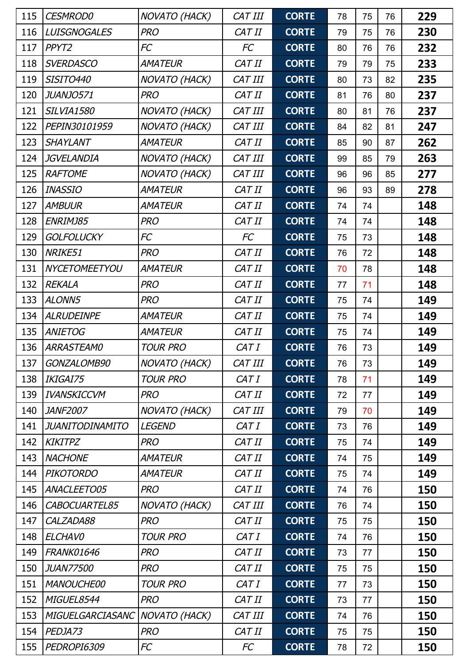| 115 | <b>CESMROD0</b>        | <b>NOVATO (HACK)</b> | CAT III | <b>CORTE</b> | 78 | 75 | 76 | 229 |
|-----|------------------------|----------------------|---------|--------------|----|----|----|-----|
| 116 | <b>LUISGNOGALES</b>    | <b>PRO</b>           | CAT II  | <b>CORTE</b> | 79 | 75 | 76 | 230 |
| 117 | PPYT2                  | FC                   | FC      | <b>CORTE</b> | 80 | 76 | 76 | 232 |
| 118 | <b>SVERDASCO</b>       | <b>AMATEUR</b>       | CAT II  | <b>CORTE</b> | 79 | 79 | 75 | 233 |
| 119 | <b>SISITO440</b>       | NOVATO (HACK)        | CAT III | <b>CORTE</b> | 80 | 73 | 82 | 235 |
| 120 | JUANJO571              | <b>PRO</b>           | CAT II  | <b>CORTE</b> | 81 | 76 | 80 | 237 |
| 121 | <b>SILVIA1580</b>      | NOVATO (HACK)        | CAT III | <b>CORTE</b> | 80 | 81 | 76 | 237 |
| 122 | PEPIN30101959          | NOVATO (HACK)        | CAT III | <b>CORTE</b> | 84 | 82 | 81 | 247 |
| 123 | <b>SHAYLANT</b>        | <b>AMATEUR</b>       | CAT II  | <b>CORTE</b> | 85 | 90 | 87 | 262 |
| 124 | <b>JGVELANDIA</b>      | <b>NOVATO (HACK)</b> | CAT III | <b>CORTE</b> | 99 | 85 | 79 | 263 |
| 125 | <b>RAFTOME</b>         | <b>NOVATO (HACK)</b> | CAT III | <b>CORTE</b> | 96 | 96 | 85 | 277 |
| 126 | <b>INASSIO</b>         | AMATEUR              | CAT II  | <b>CORTE</b> | 96 | 93 | 89 | 278 |
| 127 | <b>AMBUUR</b>          | <b>AMATEUR</b>       | CAT II  | <b>CORTE</b> | 74 | 74 |    | 148 |
| 128 | ENRIMJ85               | <b>PRO</b>           | CAT II  | <b>CORTE</b> | 74 | 74 |    | 148 |
| 129 | <b>GOLFOLUCKY</b>      | <b>FC</b>            | FC      | <b>CORTE</b> | 75 | 73 |    | 148 |
| 130 | NRIKE51                | <b>PRO</b>           | CAT II  | <b>CORTE</b> | 76 | 72 |    | 148 |
| 131 | NYCETOMEETYOU          | AMATEUR              | CAT II  | <b>CORTE</b> | 70 | 78 |    | 148 |
| 132 | <b>REKALA</b>          | <b>PRO</b>           | CAT II  | <b>CORTE</b> | 77 | 71 |    | 148 |
| 133 | ALONN5                 | <b>PRO</b>           | CAT II  | <b>CORTE</b> | 75 | 74 |    | 149 |
| 134 | <b>ALRUDEINPE</b>      | AMATEUR              | CAT II  | <b>CORTE</b> | 75 | 74 |    | 149 |
| 135 | <b>ANIETOG</b>         | AMATEUR              | CAT II  | <b>CORTE</b> | 75 | 74 |    | 149 |
| 136 | <b>ARRASTEAMO</b>      | <b>TOUR PRO</b>      | CAT I   | <b>CORTE</b> | 76 | 73 |    | 149 |
| 137 | GONZALOMB90            | NOVATO (HACK)        | CAT III | <b>CORTE</b> | 76 | 73 |    | 149 |
| 138 | IKIGAI75               | <b>TOUR PRO</b>      | CAT I   | <b>CORTE</b> | 78 | 71 |    | 149 |
| 139 | <b>IVANSKICCVM</b>     | <b>PRO</b>           | CAT II  | <b>CORTE</b> | 72 | 77 |    | 149 |
| 140 | <b>JANF2007</b>        | <b>NOVATO (HACK)</b> | CAT III | <b>CORTE</b> | 79 | 70 |    | 149 |
| 141 | <b>JUANITODINAMITO</b> | <b>LEGEND</b>        | CAT I   | <b>CORTE</b> | 73 | 76 |    | 149 |
| 142 | <b>KIKITPZ</b>         | <b>PRO</b>           | CAT II  | <b>CORTE</b> | 75 | 74 |    | 149 |
| 143 | <b>NACHONE</b>         | AMATEUR              | CAT II  | <b>CORTE</b> | 74 | 75 |    | 149 |
| 144 | <b>PIKOTORDO</b>       | <b>AMATEUR</b>       | CAT II  | <b>CORTE</b> | 75 | 74 |    | 149 |
| 145 | ANACLEETO05            | <b>PRO</b>           | CAT II  | <b>CORTE</b> | 74 | 76 |    | 150 |
| 146 | CABOCUARTEL85          | <b>NOVATO (HACK)</b> | CAT III | <b>CORTE</b> | 76 | 74 |    | 150 |
| 147 | CALZADA88              | <b>PRO</b>           | CAT II  | <b>CORTE</b> | 75 | 75 |    | 150 |
| 148 | <b>ELCHAVO</b>         | <b>TOUR PRO</b>      | CAT I   | <b>CORTE</b> | 74 | 76 |    | 150 |
| 149 | <b>FRANK01646</b>      | <b>PRO</b>           | CAT II  | <b>CORTE</b> | 73 | 77 |    | 150 |
| 150 | <b>JUAN77500</b>       | <b>PRO</b>           | CAT II  | <b>CORTE</b> | 75 | 75 |    | 150 |
| 151 | <b>MANOUCHE00</b>      | <b>TOUR PRO</b>      | CAT I   | <b>CORTE</b> | 77 | 73 |    | 150 |
| 152 | MIGUEL8544             | <b>PRO</b>           | CAT II  | <b>CORTE</b> | 73 | 77 |    | 150 |
| 153 | MIGUELGARCIASANC       | <b>NOVATO (HACK)</b> | CAT III | <b>CORTE</b> | 74 | 76 |    | 150 |
| 154 | PEDJA73                | <b>PRO</b>           | CAT II  | <b>CORTE</b> | 75 | 75 |    | 150 |
| 155 | PEDROPI6309            | FC                   | FC      | <b>CORTE</b> | 78 | 72 |    | 150 |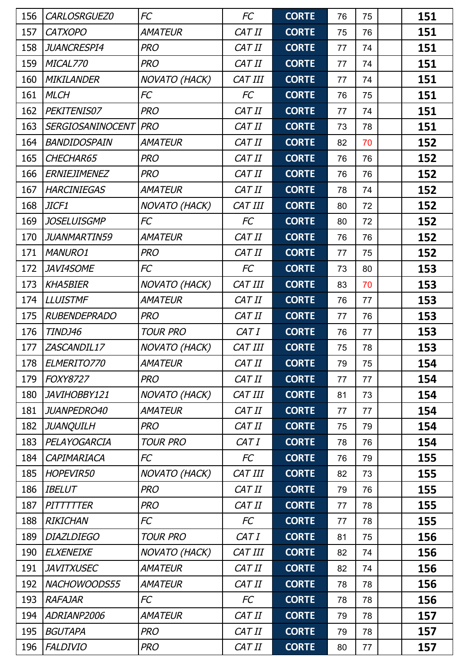| 156 | CARLOSRGUEZ0            | FC                   | <b>FC</b> | <b>CORTE</b> | 76 | 75 | 151 |
|-----|-------------------------|----------------------|-----------|--------------|----|----|-----|
| 157 | <b>CATXOPO</b>          | <b>AMATEUR</b>       | CAT II    | <b>CORTE</b> | 75 | 76 | 151 |
| 158 | <b>JUANCRESPI4</b>      | <b>PRO</b>           | CAT II    | <b>CORTE</b> | 77 | 74 | 151 |
| 159 | MICAL770                | <b>PRO</b>           | CAT II    | <b>CORTE</b> | 77 | 74 | 151 |
| 160 | <b>MIKILANDER</b>       | NOVATO (HACK)        | CAT III   | <b>CORTE</b> | 77 | 74 | 151 |
| 161 | <b>MLCH</b>             | <b>FC</b>            | FC        | <b>CORTE</b> | 76 | 75 | 151 |
| 162 | PEKITENIS07             | <b>PRO</b>           | CAT II    | <b>CORTE</b> | 77 | 74 | 151 |
| 163 | <b>SERGIOSANINOCENT</b> | <b>PRO</b>           | CAT II    | <b>CORTE</b> | 73 | 78 | 151 |
| 164 | BANDIDOSPAIN            | <b>AMATEUR</b>       | CAT II    | <b>CORTE</b> | 82 | 70 | 152 |
| 165 | CHECHAR65               | <b>PRO</b>           | CAT II    | <b>CORTE</b> | 76 | 76 | 152 |
| 166 | <b>ERNIEJIMENEZ</b>     | <b>PRO</b>           | CAT II    | <b>CORTE</b> | 76 | 76 | 152 |
| 167 | <b>HARCINIEGAS</b>      | <b>AMATEUR</b>       | CAT II    | <b>CORTE</b> | 78 | 74 | 152 |
| 168 | JICF1                   | <b>NOVATO (HACK)</b> | CAT III   | <b>CORTE</b> | 80 | 72 | 152 |
| 169 | <b>JOSELUISGMP</b>      | FC                   | FC        | <b>CORTE</b> | 80 | 72 | 152 |
| 170 | <b>JUANMARTIN59</b>     | AMATEUR              | CAT II    | <b>CORTE</b> | 76 | 76 | 152 |
| 171 | <b>MANURO1</b>          | <b>PRO</b>           | CAT II    | <b>CORTE</b> | 77 | 75 | 152 |
| 172 | <b>JAVI4SOME</b>        | FC                   | FC        | <b>CORTE</b> | 73 | 80 | 153 |
| 173 | <b>KHA5BIER</b>         | NOVATO (HACK)        | CAT III   | <b>CORTE</b> | 83 | 70 | 153 |
| 174 | <b>LLUISTMF</b>         | <b>AMATEUR</b>       | CAT II    | <b>CORTE</b> | 76 | 77 | 153 |
| 175 | <b>RUBENDEPRADO</b>     | <b>PRO</b>           | CAT II    | <b>CORTE</b> | 77 | 76 | 153 |
| 176 | TINDJ46                 | <b>TOUR PRO</b>      | CAT I     | <b>CORTE</b> | 76 | 77 | 153 |
| 177 | ZASCANDIL17             | NOVATO (HACK)        | CAT III   | <b>CORTE</b> | 75 | 78 | 153 |
| 178 | ELMERITO770             | <b>AMATEUR</b>       | CAT II    | <b>CORTE</b> | 79 | 75 | 154 |
| 179 | <b>FOXY8727</b>         | <b>PRO</b>           | CAT II    | <b>CORTE</b> | 77 | 77 | 154 |
| 180 | JAVIHOBBY121            | <b>NOVATO (HACK)</b> | CAT III   | <b>CORTE</b> | 81 | 73 | 154 |
| 181 | JUANPEDRO40             | <b>AMATEUR</b>       | CAT II    | <b>CORTE</b> | 77 | 77 | 154 |
| 182 | <b>JUANQUILH</b>        | <b>PRO</b>           | CAT II    | <b>CORTE</b> | 75 | 79 | 154 |
| 183 | PELAYOGARCIA            | <b>TOUR PRO</b>      | CAT I     | <b>CORTE</b> | 78 | 76 | 154 |
| 184 | CAPIMARIACA             | FC                   | FC        | <b>CORTE</b> | 76 | 79 | 155 |
| 185 | HOPEVIR50               | <b>NOVATO (HACK)</b> | CAT III   | <b>CORTE</b> | 82 | 73 | 155 |
| 186 | <b>IBELUT</b>           | <b>PRO</b>           | CAT II    | <b>CORTE</b> | 79 | 76 | 155 |
| 187 | <b>PITTTTTER</b>        | <b>PRO</b>           | CAT II    | <b>CORTE</b> | 77 | 78 | 155 |
| 188 | <b>RIKICHAN</b>         | FC                   | FC        | <b>CORTE</b> | 77 | 78 | 155 |
| 189 | <b>DIAZLDIEGO</b>       | <b>TOUR PRO</b>      | CAT I     | <b>CORTE</b> | 81 | 75 | 156 |
| 190 | <b>ELXENEIXE</b>        | <b>NOVATO (HACK)</b> | CAT III   | <b>CORTE</b> | 82 | 74 | 156 |
| 191 | <b>JAVITXUSEC</b>       | <b>AMATEUR</b>       | CAT II    | <b>CORTE</b> | 82 | 74 | 156 |
| 192 | NACHOWOODS55            | AMATEUR              | CAT II    | <b>CORTE</b> | 78 | 78 | 156 |
| 193 | <b>RAFAJAR</b>          | FC                   | FC        | <b>CORTE</b> | 78 | 78 | 156 |
| 194 | ADRIANP2006             | <b>AMATEUR</b>       | CAT II    | <b>CORTE</b> | 79 | 78 | 157 |
| 195 | <b>BGUTAPA</b>          | <b>PRO</b>           | CAT II    | <b>CORTE</b> | 79 | 78 | 157 |
| 196 | <b>FALDIVIO</b>         | <b>PRO</b>           | CAT II    | <b>CORTE</b> | 80 | 77 | 157 |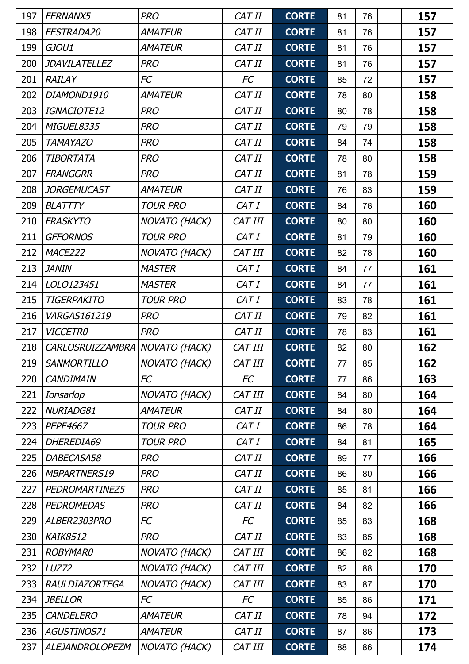| 197 | FERNANX5                | <b>PRO</b>           | CAT II         | <b>CORTE</b> | 81 | 76 | 157 |
|-----|-------------------------|----------------------|----------------|--------------|----|----|-----|
| 198 | FESTRADA20              | <b>AMATEUR</b>       | CAT II         | <b>CORTE</b> | 81 | 76 | 157 |
| 199 | GJOU1                   | AMATEUR              | CAT II         | <b>CORTE</b> | 81 | 76 | 157 |
| 200 | <b>JDAVILATELLEZ</b>    | <b>PRO</b>           | CAT II         | <b>CORTE</b> | 81 | 76 | 157 |
| 201 | <b>RAILAY</b>           | FC                   | FC             | <b>CORTE</b> | 85 | 72 | 157 |
| 202 | DIAMOND1910             | <b>AMATEUR</b>       | CAT II         | <b>CORTE</b> | 78 | 80 | 158 |
| 203 | IGNACIOTE12             | <b>PRO</b>           | CAT II         | <b>CORTE</b> | 80 | 78 | 158 |
| 204 | MIGUEL8335              | <b>PRO</b>           | CAT II         | <b>CORTE</b> | 79 | 79 | 158 |
| 205 | <b>TAMAYAZO</b>         | <b>PRO</b>           | CAT II         | <b>CORTE</b> | 84 | 74 | 158 |
| 206 | <b>TIBORTATA</b>        | <b>PRO</b>           | CAT II         | <b>CORTE</b> | 78 | 80 | 158 |
| 207 | <b>FRANGGRR</b>         | <b>PRO</b>           | CAT II         | <b>CORTE</b> | 81 | 78 | 159 |
| 208 | JORGEMUCAST             | <b>AMATEUR</b>       | CAT II         | <b>CORTE</b> | 76 | 83 | 159 |
| 209 | <b>BLATTTY</b>          | <b>TOUR PRO</b>      | CAT I          | <b>CORTE</b> | 84 | 76 | 160 |
| 210 | <b>FRASKYTO</b>         | <b>NOVATO (HACK)</b> | CAT III        | <b>CORTE</b> | 80 | 80 | 160 |
| 211 | <b>GFFORNOS</b>         | <b>TOUR PRO</b>      | CAT I          | <b>CORTE</b> | 81 | 79 | 160 |
| 212 | MACE222                 | NOVATO (HACK)        | CAT III        | <b>CORTE</b> | 82 | 78 | 160 |
| 213 | <b>JANIN</b>            | <b>MASTER</b>        | CAT I          | <b>CORTE</b> | 84 | 77 | 161 |
| 214 | LOLO123451              | <b>MASTER</b>        | CAT I          | <b>CORTE</b> | 84 | 77 | 161 |
| 215 | TIGERPAKITO             | <b>TOUR PRO</b>      | CAT I          | <b>CORTE</b> | 83 | 78 | 161 |
| 216 | VARGAS161219            | <b>PRO</b>           | CAT II         | <b>CORTE</b> | 79 | 82 | 161 |
| 217 | <b>VICCETRO</b>         | <b>PRO</b>           | CAT II         | <b>CORTE</b> | 78 | 83 | 161 |
| 218 | <b>CARLOSRUIZZAMBRA</b> | NOVATO (HACK)        | CAT III        | <b>CORTE</b> | 82 | 80 | 162 |
| 219 | <b>SANMORTILLO</b>      | NOVATO (HACK)        | CAT III        | <b>CORTE</b> | 77 | 85 | 162 |
| 220 | <b>CANDIMAIN</b>        | FC                   | <b>FC</b>      | <b>CORTE</b> | 77 | 86 | 163 |
| 221 | Ionsarlop               | NOVATO (HACK)        | CAT III        | <b>CORTE</b> | 84 | 80 | 164 |
| 222 | NURIADG81               | <b>AMATEUR</b>       | CAT II         | <b>CORTE</b> | 84 | 80 | 164 |
| 223 | PEPE4667                | <b>TOUR PRO</b>      | CAT I          | <b>CORTE</b> | 86 | 78 | 164 |
| 224 | DHEREDIA69              | <b>TOUR PRO</b>      | CAT I          | <b>CORTE</b> | 84 | 81 | 165 |
| 225 | DABECASA58              | <b>PRO</b>           | CAT II         | <b>CORTE</b> | 89 | 77 | 166 |
| 226 | MBPARTNERS19            | <b>PRO</b>           | CAT II         | <b>CORTE</b> | 86 | 80 | 166 |
| 227 | PEDROMARTINEZ5          | <b>PRO</b>           | CAT II         | <b>CORTE</b> | 85 | 81 | 166 |
| 228 | <b>PEDROMEDAS</b>       | <b>PRO</b>           | CAT II         | <b>CORTE</b> | 84 | 82 | 166 |
| 229 | ALBER2303PRO            | FC                   | FC             | <b>CORTE</b> | 85 | 83 | 168 |
| 230 | <b>KAIK8512</b>         | <b>PRO</b>           | CAT II         | <b>CORTE</b> | 83 | 85 | 168 |
| 231 | <b>ROBYMAR0</b>         | <b>NOVATO (HACK)</b> | <b>CAT III</b> | <b>CORTE</b> | 86 | 82 | 168 |
| 232 | LUZ72                   | <b>NOVATO (HACK)</b> | CAT III        | <b>CORTE</b> | 82 | 88 | 170 |
| 233 | <b>RAULDIAZORTEGA</b>   | <b>NOVATO (HACK)</b> | CAT III        | <b>CORTE</b> | 83 | 87 | 170 |
| 234 | <b>JBELLOR</b>          | FC                   | FC             | <b>CORTE</b> | 85 | 86 | 171 |
| 235 | <b>CANDELERO</b>        | <b>AMATEUR</b>       | CAT II         | <b>CORTE</b> | 78 | 94 | 172 |
| 236 | AGUSTINOS71             | <b>AMATEUR</b>       | CAT II         | <b>CORTE</b> | 87 | 86 | 173 |
| 237 | <b>ALEJANDROLOPEZM</b>  | NOVATO (HACK)        | CAT III        | <b>CORTE</b> | 88 | 86 | 174 |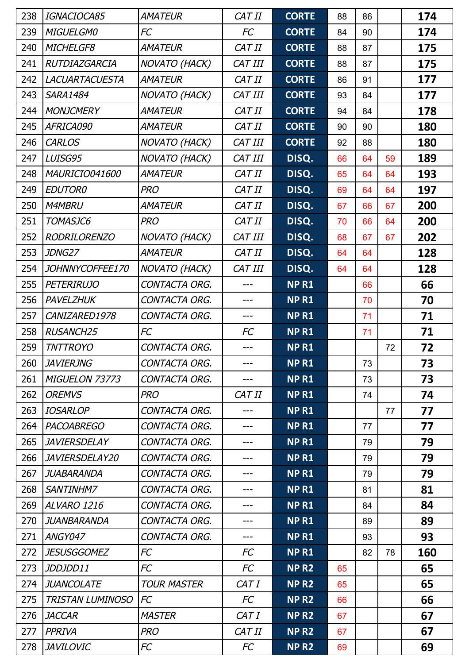| 238 | IGNACIOCA85             | <b>AMATEUR</b>       | CAT II  | <b>CORTE</b>     | 88 | 86 |    | 174 |
|-----|-------------------------|----------------------|---------|------------------|----|----|----|-----|
| 239 | <b>MIGUELGMO</b>        | FC                   | FC      | <b>CORTE</b>     | 84 | 90 |    | 174 |
| 240 | MICHELGF8               | <b>AMATEUR</b>       | CAT II  | <b>CORTE</b>     | 88 | 87 |    | 175 |
| 241 | RUTDIAZGARCIA           | <b>NOVATO (HACK)</b> | CAT III | <b>CORTE</b>     | 88 | 87 |    | 175 |
| 242 | <b>LACUARTACUESTA</b>   | <b>AMATEUR</b>       | CAT II  | <b>CORTE</b>     | 86 | 91 |    | 177 |
| 243 | <b>SARA1484</b>         | <b>NOVATO (HACK)</b> | CAT III | <b>CORTE</b>     | 93 | 84 |    | 177 |
| 244 | <b>MONJCMERY</b>        | <b>AMATEUR</b>       | CAT II  | <b>CORTE</b>     | 94 | 84 |    | 178 |
| 245 | AFRICA090               | <b>AMATEUR</b>       | CAT II  | <b>CORTE</b>     | 90 | 90 |    | 180 |
| 246 | <b>CARLOS</b>           | <b>NOVATO (HACK)</b> | CAT III | <b>CORTE</b>     | 92 | 88 |    | 180 |
| 247 | LUISG95                 | NOVATO (HACK)        | CAT III | DISQ.            | 66 | 64 | 59 | 189 |
| 248 | MAURICIO041600          | <b>AMATEUR</b>       | CAT II  | DISQ.            | 65 | 64 | 64 | 193 |
| 249 | <b>EDUTOR0</b>          | <b>PRO</b>           | CAT II  | DISQ.            | 69 | 64 | 64 | 197 |
| 250 | <b>M4MBRU</b>           | <b>AMATEUR</b>       | CAT II  | DISQ.            | 67 | 66 | 67 | 200 |
| 251 | TOMASJC6                | <b>PRO</b>           | CAT II  | DISQ.            | 70 | 66 | 64 | 200 |
| 252 | <b>RODRILORENZO</b>     | <b>NOVATO (HACK)</b> | CAT III | DISQ.            | 68 | 67 | 67 | 202 |
| 253 | JDNG27                  | <b>AMATEUR</b>       | CAT II  | DISQ.            | 64 | 64 |    | 128 |
| 254 | JOHNNYCOFFEE170         | <b>NOVATO (HACK)</b> | CAT III | DISQ.            | 64 | 64 |    | 128 |
| 255 | <b>PETERIRUJO</b>       | CONTACTA ORG.        |         | <b>NPR1</b>      |    | 66 |    | 66  |
| 256 | PAVELZHUK               | CONTACTA ORG.        | ---     | <b>NPR1</b>      |    | 70 |    | 70  |
| 257 | CANIZARED1978           | CONTACTA ORG.        | ---     | <b>NPR1</b>      |    | 71 |    | 71  |
| 258 | <b>RUSANCH25</b>        | FC                   | FC      | <b>NPR1</b>      |    | 71 |    | 71  |
| 259 | <b>TNTTROYO</b>         | CONTACTA ORG.        | ---     | <b>NPR1</b>      |    |    | 72 | 72  |
| 260 | <b>JAVIERJNG</b>        | CONTACTA ORG.        | ---     | <b>NPR1</b>      |    | 73 |    | 73  |
| 261 | MIGUELON 73773          | CONTACTA ORG.        | ---     | <b>NPR1</b>      |    | 73 |    | 73  |
| 262 | <b>OREMVS</b>           | <b>PRO</b>           | CAT II  | <b>NPR1</b>      |    | 74 |    | 74  |
| 263 | <b>IOSARLOP</b>         | CONTACTA ORG.        | ---     | <b>NPR1</b>      |    |    | 77 | 77  |
| 264 | <b>PACOABREGO</b>       | CONTACTA ORG.        | ---     | <b>NPR1</b>      |    | 77 |    | 77  |
| 265 | <b>JAVIERSDELAY</b>     | CONTACTA ORG.        | ---     | <b>NPR1</b>      |    | 79 |    | 79  |
| 266 | <i>JAVIERSDELAY20</i>   | CONTACTA ORG.        | ---     | <b>NPR1</b>      |    | 79 |    | 79  |
| 267 | JUABARANDA              | CONTACTA ORG.        | ---     | <b>NPR1</b>      |    | 79 |    | 79  |
| 268 | SANTINHM7               | CONTACTA ORG.        | ---     | <b>NPR1</b>      |    | 81 |    | 81  |
| 269 | ALVARO 1216             | CONTACTA ORG.        | ---     | <b>NPR1</b>      |    | 84 |    | 84  |
| 270 | JUANBARANDA             | CONTACTA ORG.        | ---     | <b>NPR1</b>      |    | 89 |    | 89  |
| 271 | ANGY047                 | CONTACTA ORG.        | ---     | NP <sub>R1</sub> |    | 93 |    | 93  |
| 272 | <b>JESUSGGOMEZ</b>      | FC                   | FC      | <b>NPR1</b>      |    | 82 | 78 | 160 |
| 273 | JDDJDD11                | FC                   | FC      | NP <sub>R2</sub> | 65 |    |    | 65  |
| 274 | <b>JUANCOLATE</b>       | <b>TOUR MASTER</b>   | CAT I   | NP <sub>R2</sub> | 65 |    |    | 65  |
| 275 | <b>TRISTAN LUMINOSO</b> | <b>FC</b>            | FC      | <b>NPR2</b>      | 66 |    |    | 66  |
| 276 | <b>JACCAR</b>           | <b>MASTER</b>        | CAT I   | NP <sub>R2</sub> | 67 |    |    | 67  |
| 277 | <b>PPRIVA</b>           | <b>PRO</b>           | CAT II  | NP <sub>R2</sub> | 67 |    |    | 67  |
| 278 | <b>JAVILOVIC</b>        | FC                   | FC      | NP <sub>R2</sub> | 69 |    |    | 69  |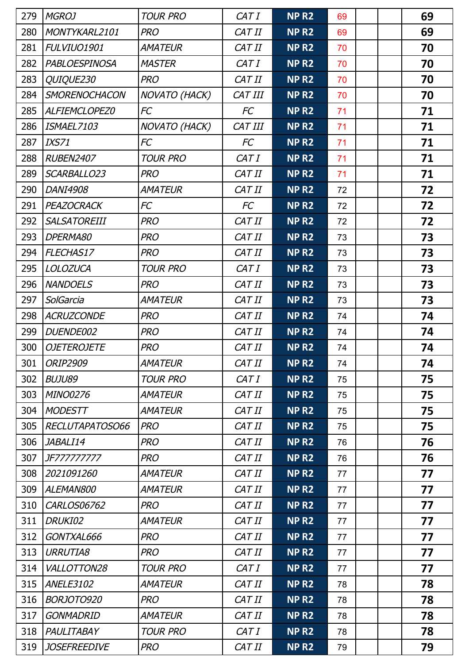| 279 | <b>MGROJ</b>         | <b>TOUR PRO</b> | CAT I     | <b>NPR2</b>       | 69 |  | 69 |
|-----|----------------------|-----------------|-----------|-------------------|----|--|----|
| 280 | MONTYKARL2101        | <b>PRO</b>      | CAT II    | NP <sub>R2</sub>  | 69 |  | 69 |
| 281 | FULVIUO1901          | AMATEUR         | CAT II    | NP <sub>R2</sub>  | 70 |  | 70 |
| 282 | <b>PABLOESPINOSA</b> | <b>MASTER</b>   | CAT I     | NP <sub>R2</sub>  | 70 |  | 70 |
| 283 | QUIQUE230            | <b>PRO</b>      | CAT II    | NP <sub>R2</sub>  | 70 |  | 70 |
| 284 | SMORENOCHACON        | NOVATO (HACK)   | CAT III   | NP <sub>R2</sub>  | 70 |  | 70 |
| 285 | ALFIEMCLOPEZ0        | FC              | FC        | NP <sub>R2</sub>  | 71 |  | 71 |
| 286 | ISMAEL7103           | NOVATO (HACK)   | CAT III   | NP <sub>R2</sub>  | 71 |  | 71 |
| 287 | <b>IXS71</b>         | FC              | FC        | NP <sub>R2</sub>  | 71 |  | 71 |
| 288 | <b>RUBEN2407</b>     | <b>TOUR PRO</b> | CAT I     | NP R <sub>2</sub> | 71 |  | 71 |
| 289 | SCARBALLO23          | <b>PRO</b>      | CAT II    | NP <sub>R2</sub>  | 71 |  | 71 |
| 290 | DANI4908             | AMATEUR         | CAT II    | NP <sub>R2</sub>  | 72 |  | 72 |
| 291 | PEAZOCRACK           | FC              | <b>FC</b> | NP <sub>R2</sub>  | 72 |  | 72 |
| 292 | <b>SALSATOREIII</b>  | <b>PRO</b>      | CAT II    | NP <sub>R2</sub>  | 72 |  | 72 |
| 293 | DPERMA80             | <b>PRO</b>      | CAT II    | NP <sub>R2</sub>  | 73 |  | 73 |
| 294 | FLECHAS17            | <b>PRO</b>      | CAT II    | NP <sub>R2</sub>  | 73 |  | 73 |
| 295 | <b>LOLOZUCA</b>      | <b>TOUR PRO</b> | CAT I     | NP <sub>R2</sub>  | 73 |  | 73 |
| 296 | <b>NANDOELS</b>      | <b>PRO</b>      | CAT II    | NP <sub>R2</sub>  | 73 |  | 73 |
| 297 | SolGarcia            | <b>AMATEUR</b>  | CAT II    | NP <sub>R2</sub>  | 73 |  | 73 |
| 298 | <b>ACRUZCONDE</b>    | <b>PRO</b>      | CAT II    | NP <sub>R2</sub>  | 74 |  | 74 |
| 299 | DUENDE002            | <b>PRO</b>      | CAT II    | NP <sub>R2</sub>  | 74 |  | 74 |
| 300 | <b>OJETEROJETE</b>   | <b>PRO</b>      | CAT II    | NP <sub>R2</sub>  | 74 |  | 74 |
| 301 | <b>ORIP2909</b>      | <b>AMATEUR</b>  | CAT II    | NP <sub>R2</sub>  | 74 |  | 74 |
| 302 | <b>BUJU89</b>        | <b>TOUR PRO</b> | CAT I     | NP <sub>R2</sub>  | 75 |  | 75 |
| 303 | <b>MINO0276</b>      | AMATEUR         | CAT II    | <b>NP R2</b>      | 75 |  | 75 |
| 304 | <b>MODESTT</b>       | <i>AMATEUR</i>  | CAT II    | NP <sub>R2</sub>  | 75 |  | 75 |
| 305 | RECLUTAPATOSO66      | <b>PRO</b>      | CAT II    | NP <sub>R2</sub>  | 75 |  | 75 |
| 306 | JABALI14             | <b>PRO</b>      | CAT II    | NP <sub>R2</sub>  | 76 |  | 76 |
| 307 | JF777777777          | <b>PRO</b>      | CAT II    | NP <sub>R2</sub>  | 76 |  | 76 |
| 308 | 2021091260           | <i>AMATEUR</i>  | CAT II    | NP <sub>R2</sub>  | 77 |  | 77 |
| 309 | ALEMAN800            | <i>AMATEUR</i>  | CAT II    | NP <sub>R2</sub>  | 77 |  | 77 |
| 310 | CARLOS06762          | <b>PRO</b>      | CAT II    | NP <sub>R2</sub>  | 77 |  | 77 |
| 311 | DRUKI02              | AMATEUR         | CAT II    | NP <sub>R2</sub>  | 77 |  | 77 |
| 312 | GONTXAL666           | <b>PRO</b>      | CAT II    | NP <sub>R2</sub>  | 77 |  | 77 |
| 313 | <b>URRUTIA8</b>      | <b>PRO</b>      | CAT II    | NP <sub>R2</sub>  | 77 |  | 77 |
| 314 | VALLOTTON28          | <b>TOUR PRO</b> | CAT I     | NP <sub>R2</sub>  | 77 |  | 77 |
| 315 | ANELE3102            | <i>AMATEUR</i>  | CAT II    | NP <sub>R2</sub>  | 78 |  | 78 |
| 316 | BORJOTO920           | <b>PRO</b>      | CAT II    | NP <sub>R2</sub>  | 78 |  | 78 |
| 317 | <b>GONMADRID</b>     | <i>AMATEUR</i>  | CAT II    | NP <sub>R2</sub>  | 78 |  | 78 |
| 318 | PAULITABAY           | <b>TOUR PRO</b> | CAT I     | NP <sub>R2</sub>  | 78 |  | 78 |
| 319 | <b>JOSEFREEDIVE</b>  | <b>PRO</b>      | CAT II    | NP <sub>R2</sub>  | 79 |  | 79 |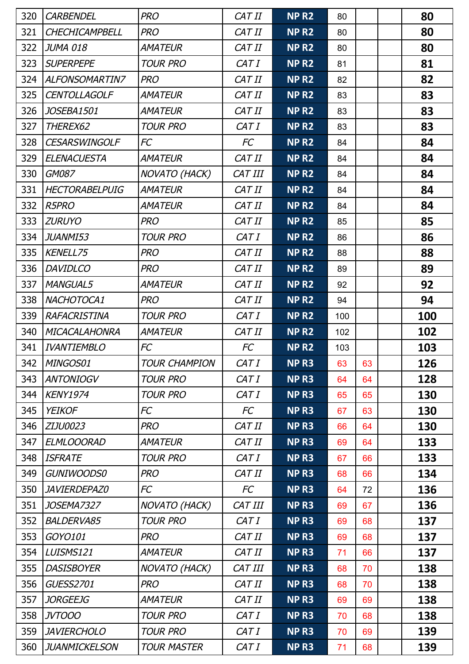| 320 | <b>CARBENDEL</b>      | <b>PRO</b>           | CAT II    | NP <sub>R2</sub> | 80  |    | 80  |
|-----|-----------------------|----------------------|-----------|------------------|-----|----|-----|
| 321 | CHECHICAMPBELL        | <b>PRO</b>           | CAT II    | NP <sub>R2</sub> | 80  |    | 80  |
| 322 | <b>JUMA 018</b>       | <b>AMATEUR</b>       | CAT II    | NP <sub>R2</sub> | 80  |    | 80  |
| 323 | <b>SUPERPEPE</b>      | <b>TOUR PRO</b>      | CAT I     | NP <sub>R2</sub> | 81  |    | 81  |
| 324 | <b>ALFONSOMARTIN7</b> | <b>PRO</b>           | CAT II    | NP <sub>R2</sub> | 82  |    | 82  |
| 325 | <b>CENTOLLAGOLF</b>   | <b>AMATEUR</b>       | CAT II    | NP <sub>R2</sub> | 83  |    | 83  |
| 326 | JOSEBA1501            | <b>AMATEUR</b>       | CAT II    | NP <sub>R2</sub> | 83  |    | 83  |
| 327 | THEREX62              | <b>TOUR PRO</b>      | CAT I     | NP <sub>R2</sub> | 83  |    | 83  |
| 328 | <b>CESARSWINGOLF</b>  | <b>FC</b>            | <b>FC</b> | NP <sub>R2</sub> | 84  |    | 84  |
| 329 | <b>ELENACUESTA</b>    | <b>AMATEUR</b>       | CAT II    | NP <sub>R2</sub> | 84  |    | 84  |
| 330 | GM087                 | <b>NOVATO (HACK)</b> | CAT III   | NP <sub>R2</sub> | 84  |    | 84  |
| 331 | <b>HECTORABELPUIG</b> | <b>AMATEUR</b>       | CAT II    | NP <sub>R2</sub> | 84  |    | 84  |
| 332 | <b>R5PRO</b>          | AMATEUR              | CAT II    | NP <sub>R2</sub> | 84  |    | 84  |
| 333 | <b>ZURUYO</b>         | <b>PRO</b>           | CAT II    | NP <sub>R2</sub> | 85  |    | 85  |
| 334 | JUANMI53              | <b>TOUR PRO</b>      | CAT I     | NP <sub>R2</sub> | 86  |    | 86  |
| 335 | <b>KENELL75</b>       | <b>PRO</b>           | CAT II    | NP <sub>R2</sub> | 88  |    | 88  |
| 336 | <b>DAVIDLCO</b>       | <b>PRO</b>           | CAT II    | NP <sub>R2</sub> | 89  |    | 89  |
| 337 | <b>MANGUAL5</b>       | <b>AMATEUR</b>       | CAT II    | NP <sub>R2</sub> | 92  |    | 92  |
| 338 | NACHOTOCA1            | <b>PRO</b>           | CAT II    | NP <sub>R2</sub> | 94  |    | 94  |
| 339 | <b>RAFACRISTINA</b>   | <b>TOUR PRO</b>      | CAT I     | NP <sub>R2</sub> | 100 |    | 100 |
| 340 | <b>MICACALAHONRA</b>  | <b>AMATEUR</b>       | CAT II    | <b>NPR2</b>      | 102 |    | 102 |
| 341 | <b>IVANTIEMBLO</b>    | FC                   | <b>FC</b> | <b>NPR2</b>      | 103 |    | 103 |
| 342 | MINGOS01              | TOUR CHAMPION        | CAT I     | <b>NPR3</b>      | 63  | 63 | 126 |
| 343 | <b>ANTONIOGV</b>      | <b>TOUR PRO</b>      | CAT I     | NP <sub>R3</sub> | 64  | 64 | 128 |
| 344 | <b>KENY1974</b>       | <b>TOUR PRO</b>      | CAT I     | NP <sub>R3</sub> | 65  | 65 | 130 |
| 345 | <b>YEIKOF</b>         | FC                   | FC        | NP <sub>R3</sub> | 67  | 63 | 130 |
| 346 | ZIJU0023              | <b>PRO</b>           | CAT II    | NP <sub>R3</sub> | 66  | 64 | 130 |
| 347 | <b>ELMLOOORAD</b>     | AMATEUR              | CAT II    | NP <sub>R3</sub> | 69  | 64 | 133 |
| 348 | <b>ISFRATE</b>        | <b>TOUR PRO</b>      | CAT I     | NP <sub>R3</sub> | 67  | 66 | 133 |
| 349 | <b>GUNIWOODS0</b>     | <b>PRO</b>           | CAT II    | NP <sub>R3</sub> | 68  | 66 | 134 |
| 350 | JAVIERDEPAZ0          | FC                   | FC        | NP <sub>R3</sub> | 64  | 72 | 136 |
| 351 | <i>JOSEMA7327</i>     | <b>NOVATO (HACK)</b> | CAT III   | NP <sub>R3</sub> | 69  | 67 | 136 |
| 352 | <b>BALDERVA85</b>     | <b>TOUR PRO</b>      | CAT I     | NP <sub>R3</sub> | 69  | 68 | 137 |
| 353 | GOYO101               | <b>PRO</b>           | CAT II    | NP <sub>R3</sub> | 69  | 68 | 137 |
| 354 | LUISMS121             | <b>AMATEUR</b>       | CAT II    | NP <sub>R3</sub> | 71  | 66 | 137 |
| 355 | <b>DASISBOYER</b>     | <b>NOVATO (HACK)</b> | CAT III   | NP <sub>R3</sub> | 68  | 70 | 138 |
| 356 | <b>GUESS2701</b>      | <b>PRO</b>           | CAT II    | NP <sub>R3</sub> | 68  | 70 | 138 |
| 357 | <b>JORGEEJG</b>       | <b>AMATEUR</b>       | CAT II    | NP <sub>R3</sub> | 69  | 69 | 138 |
| 358 | <b>JVTOOO</b>         | <b>TOUR PRO</b>      | CAT I     | NP <sub>R3</sub> | 70  | 68 | 138 |
| 359 | <b>JAVIERCHOLO</b>    | <b>TOUR PRO</b>      | CAT I     | NP <sub>R3</sub> | 70  | 69 | 139 |
| 360 | <b>JUANMICKELSON</b>  | <b>TOUR MASTER</b>   | CAT I     | NP <sub>R3</sub> | 71  | 68 | 139 |